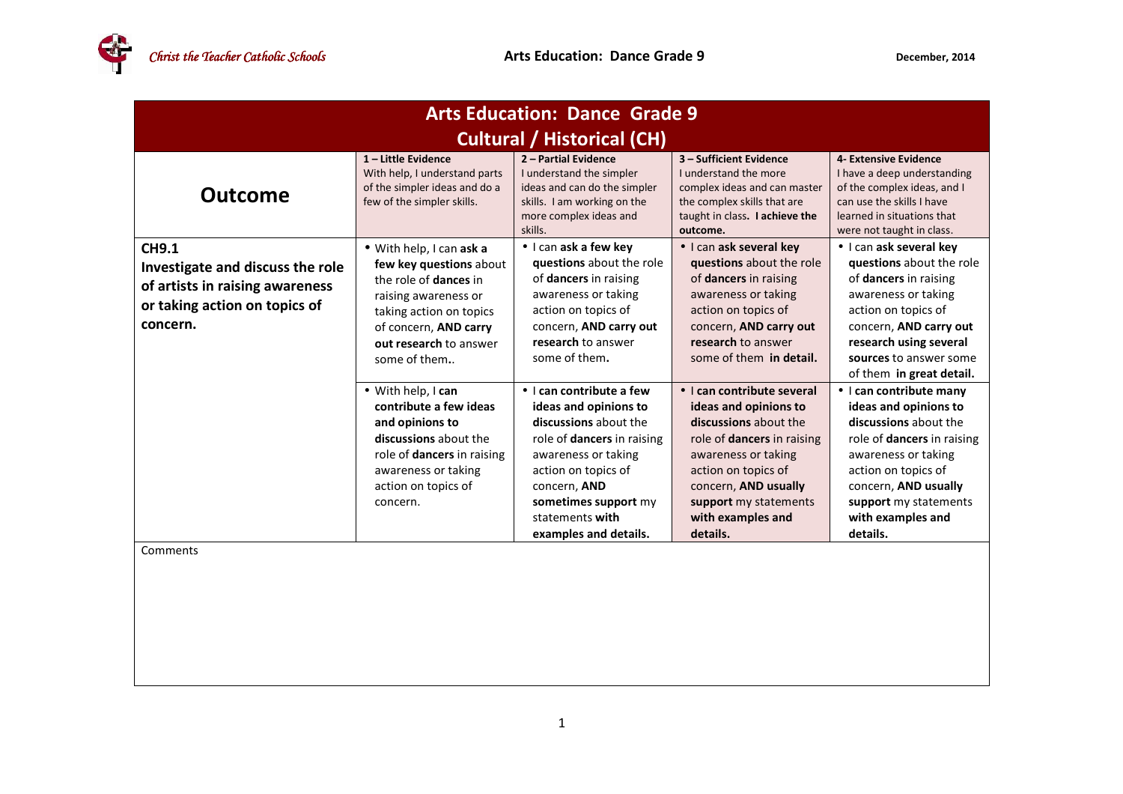| <b>Arts Education: Dance Grade 9</b>                                                                                             |                                                                                                                                                                                                           |                                                                                                                                                                                                                                                   |                                                                                                                                                                                                                                                   |                                                                                                                                                                                                                                                |
|----------------------------------------------------------------------------------------------------------------------------------|-----------------------------------------------------------------------------------------------------------------------------------------------------------------------------------------------------------|---------------------------------------------------------------------------------------------------------------------------------------------------------------------------------------------------------------------------------------------------|---------------------------------------------------------------------------------------------------------------------------------------------------------------------------------------------------------------------------------------------------|------------------------------------------------------------------------------------------------------------------------------------------------------------------------------------------------------------------------------------------------|
| <b>Cultural / Historical (CH)</b>                                                                                                |                                                                                                                                                                                                           |                                                                                                                                                                                                                                                   |                                                                                                                                                                                                                                                   |                                                                                                                                                                                                                                                |
| <b>Outcome</b>                                                                                                                   | $1$ – Little Evidence<br>With help, I understand parts<br>of the simpler ideas and do a<br>few of the simpler skills.                                                                                     | 2 - Partial Evidence<br>I understand the simpler<br>ideas and can do the simpler<br>skills. I am working on the<br>more complex ideas and<br>skills.                                                                                              | 3 - Sufficient Evidence<br>I understand the more<br>complex ideas and can master<br>the complex skills that are<br>taught in class. I achieve the<br>outcome.                                                                                     | 4- Extensive Evidence<br>I have a deep understanding<br>of the complex ideas, and I<br>can use the skills I have<br>learned in situations that<br>were not taught in class.                                                                    |
| <b>CH9.1</b><br>Investigate and discuss the role<br>of artists in raising awareness<br>or taking action on topics of<br>concern. | · With help, I can ask a<br>few key questions about<br>the role of <b>dances</b> in<br>raising awareness or<br>taking action on topics<br>of concern, AND carry<br>out research to answer<br>some of them | • I can ask a few key<br>questions about the role<br>of dancers in raising<br>awareness or taking<br>action on topics of<br>concern, AND carry out<br>research to answer<br>some of them.                                                         | • I can ask several key<br>questions about the role<br>of dancers in raising<br>awareness or taking<br>action on topics of<br>concern, AND carry out<br>research to answer<br>some of them in detail.                                             | • I can ask several key<br>questions about the role<br>of dancers in raising<br>awareness or taking<br>action on topics of<br>concern, AND carry out<br>research using several<br>sources to answer some<br>of them in great detail.           |
|                                                                                                                                  | • With help, I can<br>contribute a few ideas<br>and opinions to<br>discussions about the<br>role of <b>dancers</b> in raising<br>awareness or taking<br>action on topics of<br>concern.                   | • I can contribute a few<br>ideas and opinions to<br>discussions about the<br>role of <b>dancers</b> in raising<br>awareness or taking<br>action on topics of<br>concern, AND<br>sometimes support my<br>statements with<br>examples and details. | • I can contribute several<br>ideas and opinions to<br>discussions about the<br>role of <b>dancers</b> in raising<br>awareness or taking<br>action on topics of<br>concern, AND usually<br>support my statements<br>with examples and<br>details. | • I can contribute many<br>ideas and opinions to<br>discussions about the<br>role of <b>dancers</b> in raising<br>awareness or taking<br>action on topics of<br>concern, AND usually<br>support my statements<br>with examples and<br>details. |
| Comments                                                                                                                         |                                                                                                                                                                                                           |                                                                                                                                                                                                                                                   |                                                                                                                                                                                                                                                   |                                                                                                                                                                                                                                                |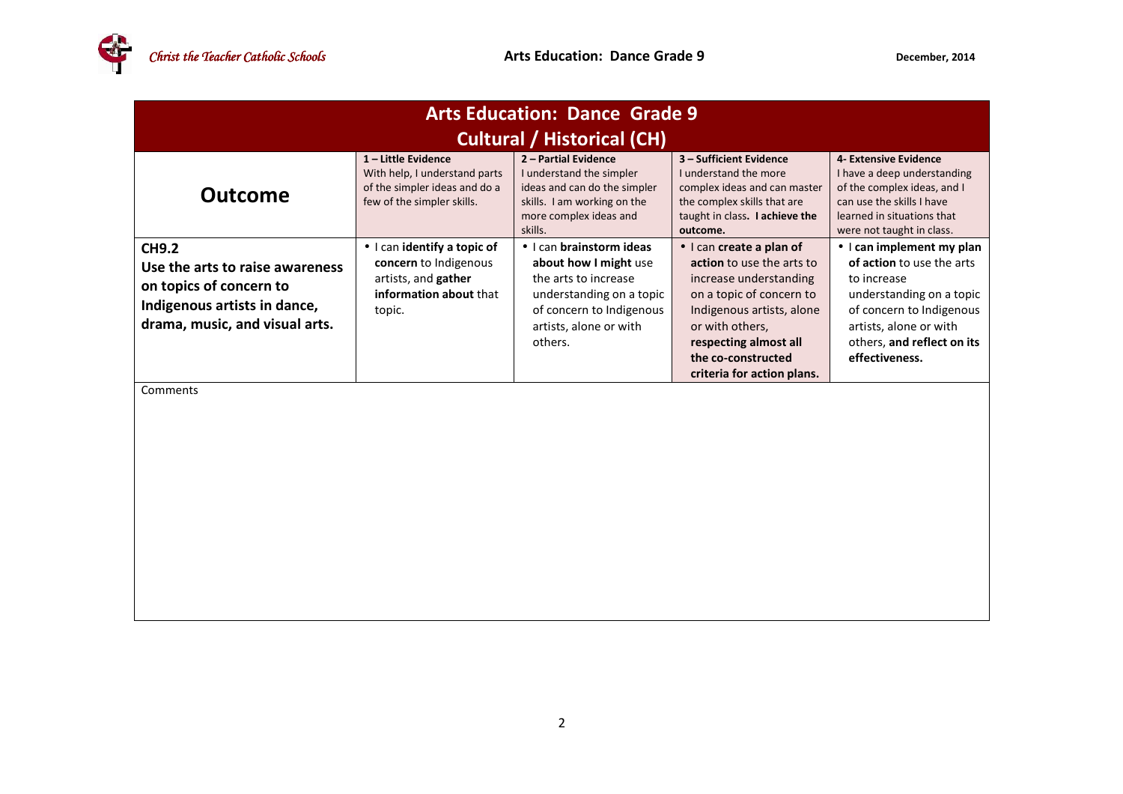

| <b>Arts Education: Dance Grade 9</b>                                                                                                         |                                                                                                                   |                                                                                                                                                                        |                                                                                                                                                                                                                                          |                                                                                                                                                                                                         |  |
|----------------------------------------------------------------------------------------------------------------------------------------------|-------------------------------------------------------------------------------------------------------------------|------------------------------------------------------------------------------------------------------------------------------------------------------------------------|------------------------------------------------------------------------------------------------------------------------------------------------------------------------------------------------------------------------------------------|---------------------------------------------------------------------------------------------------------------------------------------------------------------------------------------------------------|--|
| <b>Cultural / Historical (CH)</b>                                                                                                            |                                                                                                                   |                                                                                                                                                                        |                                                                                                                                                                                                                                          |                                                                                                                                                                                                         |  |
| <b>Outcome</b>                                                                                                                               | 1-Little Evidence<br>With help, I understand parts<br>of the simpler ideas and do a<br>few of the simpler skills. | 2 - Partial Evidence<br>I understand the simpler<br>ideas and can do the simpler<br>skills. I am working on the<br>more complex ideas and<br>skills.                   | 3 - Sufficient Evidence<br>I understand the more<br>complex ideas and can master<br>the complex skills that are<br>taught in class. I achieve the<br>outcome.                                                                            | 4- Extensive Evidence<br>I have a deep understanding<br>of the complex ideas, and I<br>can use the skills I have<br>learned in situations that<br>were not taught in class.                             |  |
| <b>CH9.2</b><br>Use the arts to raise awareness<br>on topics of concern to<br>Indigenous artists in dance,<br>drama, music, and visual arts. | · I can identify a topic of<br>concern to Indigenous<br>artists, and gather<br>information about that<br>topic.   | · I can brainstorm ideas<br>about how I might use<br>the arts to increase<br>understanding on a topic<br>of concern to Indigenous<br>artists, alone or with<br>others. | · I can create a plan of<br>action to use the arts to<br>increase understanding<br>on a topic of concern to<br>Indigenous artists, alone<br>or with others,<br>respecting almost all<br>the co-constructed<br>criteria for action plans. | • I can implement my plan<br>of action to use the arts<br>to increase<br>understanding on a topic<br>of concern to Indigenous<br>artists, alone or with<br>others, and reflect on its<br>effectiveness. |  |
| Comments                                                                                                                                     |                                                                                                                   |                                                                                                                                                                        |                                                                                                                                                                                                                                          |                                                                                                                                                                                                         |  |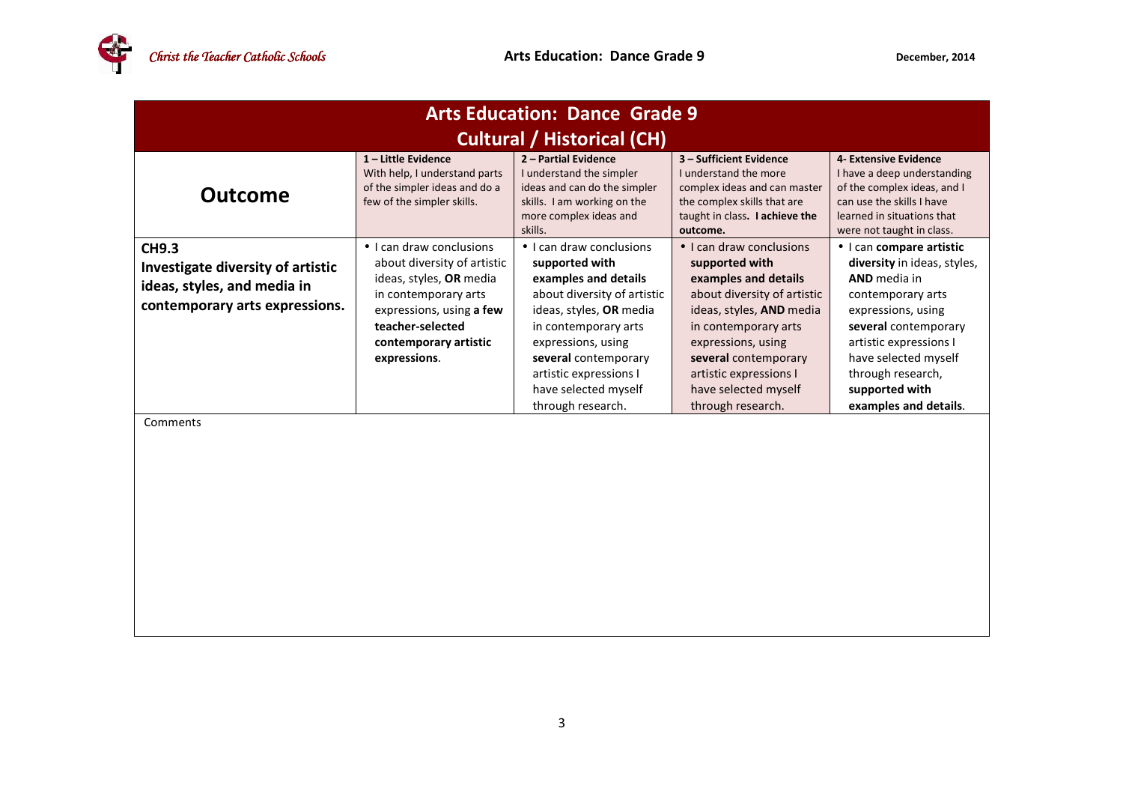| <b>Arts Education: Dance Grade 9</b>                                                                               |                                                                                                                                                                                                     |                                                                                                                                                                                                                                                                           |                                                                                                                                                                                                                                                                                    |                                                                                                                                                                                                                                                                     |  |
|--------------------------------------------------------------------------------------------------------------------|-----------------------------------------------------------------------------------------------------------------------------------------------------------------------------------------------------|---------------------------------------------------------------------------------------------------------------------------------------------------------------------------------------------------------------------------------------------------------------------------|------------------------------------------------------------------------------------------------------------------------------------------------------------------------------------------------------------------------------------------------------------------------------------|---------------------------------------------------------------------------------------------------------------------------------------------------------------------------------------------------------------------------------------------------------------------|--|
| <b>Cultural / Historical (CH)</b>                                                                                  |                                                                                                                                                                                                     |                                                                                                                                                                                                                                                                           |                                                                                                                                                                                                                                                                                    |                                                                                                                                                                                                                                                                     |  |
| <b>Outcome</b>                                                                                                     | 1-Little Evidence<br>With help, I understand parts<br>of the simpler ideas and do a<br>few of the simpler skills.                                                                                   | 2 - Partial Evidence<br>I understand the simpler<br>ideas and can do the simpler<br>skills. I am working on the<br>more complex ideas and<br>skills.                                                                                                                      | 3 - Sufficient Evidence<br><b>Lunderstand the more</b><br>complex ideas and can master<br>the complex skills that are<br>taught in class. I achieve the<br>outcome.                                                                                                                | 4- Extensive Evidence<br>I have a deep understanding<br>of the complex ideas, and I<br>can use the skills I have<br>learned in situations that<br>were not taught in class.                                                                                         |  |
| <b>CH9.3</b><br>Investigate diversity of artistic<br>ideas, styles, and media in<br>contemporary arts expressions. | • I can draw conclusions<br>about diversity of artistic<br>ideas, styles, OR media<br>in contemporary arts<br>expressions, using a few<br>teacher-selected<br>contemporary artistic<br>expressions. | • I can draw conclusions<br>supported with<br>examples and details<br>about diversity of artistic<br>ideas, styles, OR media<br>in contemporary arts<br>expressions, using<br>several contemporary<br>artistic expressions I<br>have selected myself<br>through research. | $\bullet$ I can draw conclusions<br>supported with<br>examples and details<br>about diversity of artistic<br>ideas, styles, AND media<br>in contemporary arts<br>expressions, using<br>several contemporary<br>artistic expressions I<br>have selected myself<br>through research. | • I can compare artistic<br>diversity in ideas, styles,<br><b>AND</b> media in<br>contemporary arts<br>expressions, using<br>several contemporary<br>artistic expressions I<br>have selected myself<br>through research,<br>supported with<br>examples and details. |  |
| Comments                                                                                                           |                                                                                                                                                                                                     |                                                                                                                                                                                                                                                                           |                                                                                                                                                                                                                                                                                    |                                                                                                                                                                                                                                                                     |  |